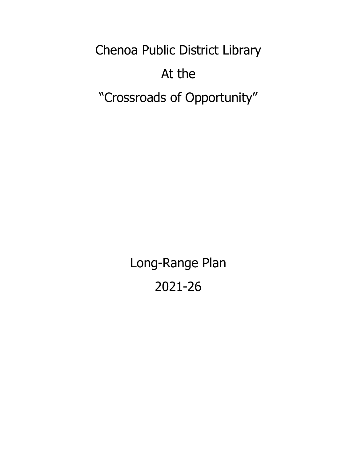Chenoa Public District Library At the "Crossroads of Opportunity"

> Long-Range Plan 2021-26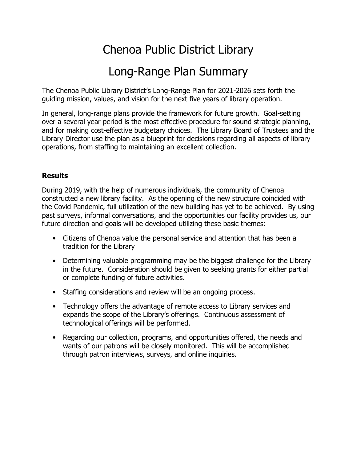# Chenoa Public District Library

# Long-Range Plan Summary

The Chenoa Public Library District's Long-Range Plan for 2021-2026 sets forth the guiding mission, values, and vision for the next five years of library operation.

In general, long-range plans provide the framework for future growth. Goal-setting over a several year period is the most effective procedure for sound strategic planning, and for making cost-effective budgetary choices. The Library Board of Trustees and the Library Director use the plan as a blueprint for decisions regarding all aspects of library operations, from staffing to maintaining an excellent collection.

## **Results**

During 2019, with the help of numerous individuals, the community of Chenoa constructed a new library facility. As the opening of the new structure coincided with the Covid Pandemic, full utilization of the new building has yet to be achieved. By using past surveys, informal conversations, and the opportunities our facility provides us, our future direction and goals will be developed utilizing these basic themes:

- Citizens of Chenoa value the personal service and attention that has been a tradition for the Library
- Determining valuable programming may be the biggest challenge for the Library in the future. Consideration should be given to seeking grants for either partial or complete funding of future activities.
- Staffing considerations and review will be an ongoing process.
- Technology offers the advantage of remote access to Library services and expands the scope of the Library's offerings. Continuous assessment of technological offerings will be performed.
- Regarding our collection, programs, and opportunities offered, the needs and wants of our patrons will be closely monitored. This will be accomplished through patron interviews, surveys, and online inquiries.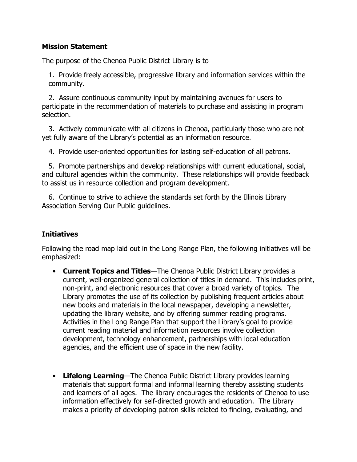#### **Mission Statement**

The purpose of the Chenoa Public District Library is to

1. Provide freely accessible, progressive library and information services within the community.

 2. Assure continuous community input by maintaining avenues for users to participate in the recommendation of materials to purchase and assisting in program selection.

 3. Actively communicate with all citizens in Chenoa, particularly those who are not yet fully aware of the Library's potential as an information resource.

4. Provide user-oriented opportunities for lasting self-education of all patrons.

 5. Promote partnerships and develop relationships with current educational, social, and cultural agencies within the community. These relationships will provide feedback to assist us in resource collection and program development.

 6. Continue to strive to achieve the standards set forth by the Illinois Library Association Serving Our Public guidelines.

#### **Initiatives**

Following the road map laid out in the Long Range Plan, the following initiatives will be emphasized:

- **Current Topics and Titles**—The Chenoa Public District Library provides a current, well-organized general collection of titles in demand. This includes print, non-print, and electronic resources that cover a broad variety of topics. The Library promotes the use of its collection by publishing frequent articles about new books and materials in the local newspaper, developing a newsletter, updating the library website, and by offering summer reading programs. Activities in the Long Range Plan that support the Library's goal to provide current reading material and information resources involve collection development, technology enhancement, partnerships with local education agencies, and the efficient use of space in the new facility.
- **Lifelong Learning**—The Chenoa Public District Library provides learning materials that support formal and informal learning thereby assisting students and learners of all ages. The library encourages the residents of Chenoa to use information effectively for self-directed growth and education. The Library makes a priority of developing patron skills related to finding, evaluating, and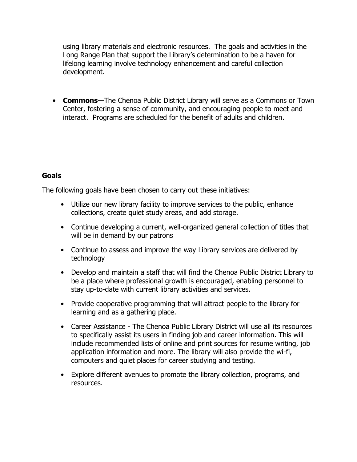using library materials and electronic resources. The goals and activities in the Long Range Plan that support the Library's determination to be a haven for lifelong learning involve technology enhancement and careful collection development.

• **Commons**—The Chenoa Public District Library will serve as a Commons or Town Center, fostering a sense of community, and encouraging people to meet and interact. Programs are scheduled for the benefit of adults and children.

## **Goals**

The following goals have been chosen to carry out these initiatives:

- Utilize our new library facility to improve services to the public, enhance collections, create quiet study areas, and add storage.
- Continue developing a current, well-organized general collection of titles that will be in demand by our patrons
- Continue to assess and improve the way Library services are delivered by technology
- Develop and maintain a staff that will find the Chenoa Public District Library to be a place where professional growth is encouraged, enabling personnel to stay up-to-date with current library activities and services.
- Provide cooperative programming that will attract people to the library for learning and as a gathering place.
- Career Assistance The Chenoa Public Library District will use all its resources to specifically assist its users in finding job and career information. This will include recommended lists of online and print sources for resume writing, job application information and more. The library will also provide the wi-fi, computers and quiet places for career studying and testing.
- Explore different avenues to promote the library collection, programs, and resources.